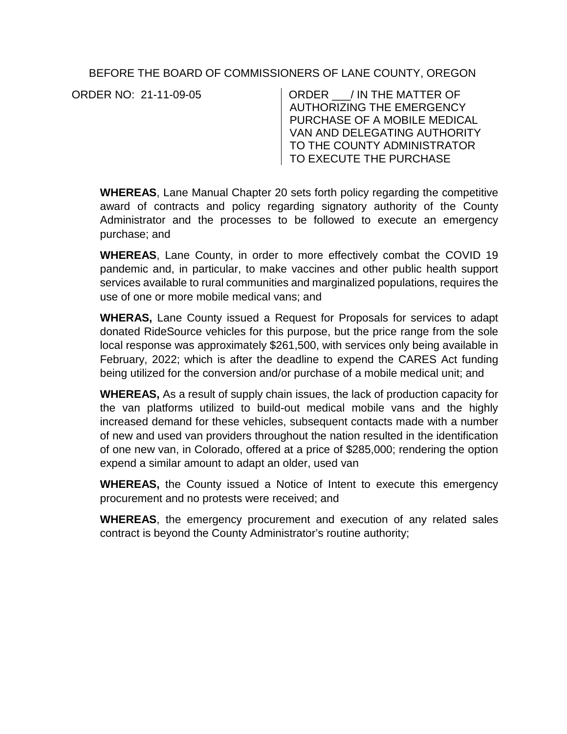## BEFORE THE BOARD OF COMMISSIONERS OF LANE COUNTY, OREGON

ORDER NO: 21-11-09-05 CORDER THE MATTER OF AUTHORIZING THE EMERGENCY PURCHASE OF A MOBILE MEDICAL VAN AND DELEGATING AUTHORITY TO THE COUNTY ADMINISTRATOR TO EXECUTE THE PURCHASE

**WHEREAS**, Lane Manual Chapter 20 sets forth policy regarding the competitive award of contracts and policy regarding signatory authority of the County Administrator and the processes to be followed to execute an emergency purchase; and

**WHEREAS**, Lane County, in order to more effectively combat the COVID 19 pandemic and, in particular, to make vaccines and other public health support services available to rural communities and marginalized populations, requires the use of one or more mobile medical vans; and

**WHERAS,** Lane County issued a Request for Proposals for services to adapt donated RideSource vehicles for this purpose, but the price range from the sole local response was approximately \$261,500, with services only being available in February, 2022; which is after the deadline to expend the CARES Act funding being utilized for the conversion and/or purchase of a mobile medical unit; and

**WHEREAS,** As a result of supply chain issues, the lack of production capacity for the van platforms utilized to build-out medical mobile vans and the highly increased demand for these vehicles, subsequent contacts made with a number of new and used van providers throughout the nation resulted in the identification of one new van, in Colorado, offered at a price of \$285,000; rendering the option expend a similar amount to adapt an older, used van

**WHEREAS,** the County issued a Notice of Intent to execute this emergency procurement and no protests were received; and

**WHEREAS**, the emergency procurement and execution of any related sales contract is beyond the County Administrator's routine authority;